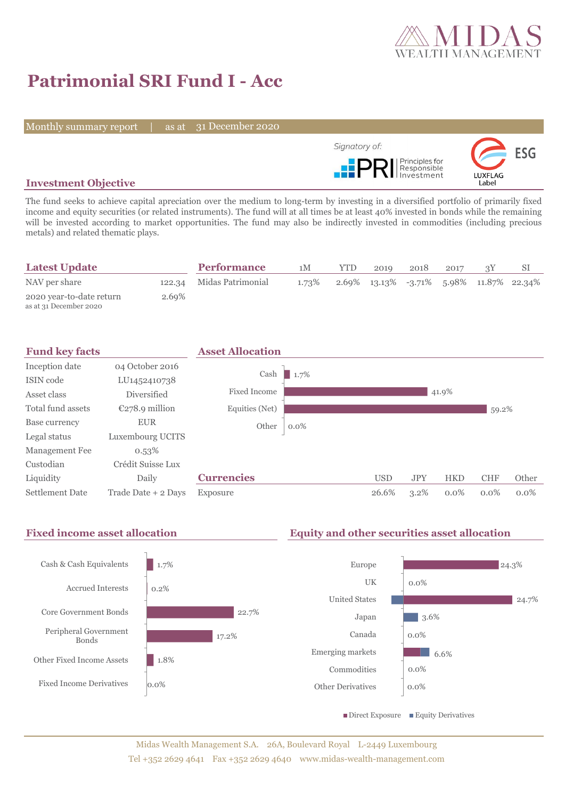

# **Patrimonial SRI Fund I - Acc**

Monthly summary report | as at 31 December 2020



## **Investment Objective**

The fund seeks to achieve capital apreciation over the medium to long-term by investing in a diversified portfolio of primarily fixed income and equity securities (or related instruments). The fund will at all times be at least 40% invested in bonds while the remaining will be invested according to market opportunities. The fund may also be indirectly invested in commodities (including precious metals) and related thematic plays.

| <b>Latest Update</b>                               |       | <b>Performance</b>       | 1M    | <b>YTD</b> | 2019                                            | 2018 | 2017 |  |
|----------------------------------------------------|-------|--------------------------|-------|------------|-------------------------------------------------|------|------|--|
| NAV per share                                      |       | 122.34 Midas Patrimonial | 1.73% |            | $2.69\%$ 13.13\% -3.71\% 5.98\% 11.87\% 22.34\% |      |      |  |
| 2020 year-to-date return<br>as at 31 December 2020 | 2.69% |                          |       |            |                                                 |      |      |  |



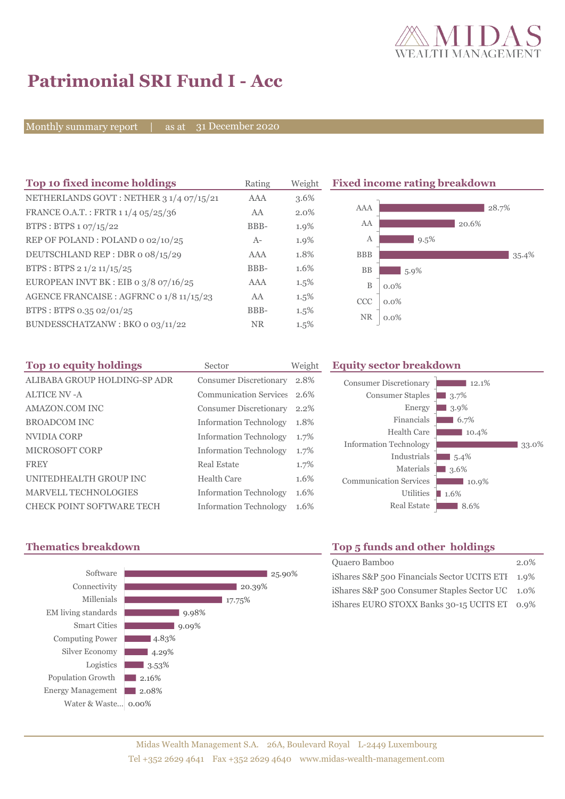

35.4%

# **Patrimonial SRI Fund I - Acc**

Monthly summary report | as at 31 December 2020

| Top 10 fixed income holdings             | Rating     | Weight  |             | <b>Fixed income rating breakdown</b> |
|------------------------------------------|------------|---------|-------------|--------------------------------------|
| NETHERLANDS GOVT: NETHER 3 1/4 07/15/21  | <b>AAA</b> | $3.6\%$ |             |                                      |
| FRANCE O.A.T.: FRTR 11/4 05/25/36        | AA         | 2.0%    | AAA         | 28.7%                                |
| BTPS: BTPS 1 07/15/22                    | BBB-       | 1.9%    | AA          | 20.6%                                |
| REP OF POLAND: POLAND 0 02/10/25         | $A-$       | 1.9%    | А           | 9.5%                                 |
| DEUTSCHLAND REP : DBR o 08/15/29         | AAA        | 1.8%    | <b>BBB</b>  |                                      |
| BTPS: BTPS 2 1/2 11/15/25                | BBB-       | 1.6%    | <b>BB</b>   | $5.9\%$                              |
| EUROPEAN INVT BK : EIB o $3/8$ 07/16/25  | AAA        | 1.5%    | $\mathbf B$ | $0.0\%$                              |
| AGENCE FRANCAISE : AGFRNC 0 1/8 11/15/23 | AA         | 1.5%    | <b>CCC</b>  | $0.0\%$                              |
| BTPS: BTPS 0.35 02/01/25                 | BBB-       | $1.5\%$ |             |                                      |
| BUNDESSCHATZANW: BKO 0 03/11/22          | <b>NR</b>  | 1.5%    | <b>NR</b>   | $0.0\%$                              |

| Top 10 equity holdings           | Sector                        | Weight |
|----------------------------------|-------------------------------|--------|
| ALIBABA GROUP HOLDING-SP ADR     | <b>Consumer Discretionary</b> | 2.8%   |
| <b>ALTICE NV-A</b>               | <b>Communication Services</b> | 2.6%   |
| AMAZON.COM INC                   | <b>Consumer Discretionary</b> | 2.2%   |
| <b>BROADCOM INC</b>              | <b>Information Technology</b> | 1.8%   |
| NVIDIA CORP                      | <b>Information Technology</b> | 1.7%   |
| MICROSOFT CORP                   | <b>Information Technology</b> | 1.7%   |
| <b>FREY</b>                      | Real Estate                   | 1.7%   |
| UNITEDHEALTH GROUP INC           | Health Care                   | 1.6%   |
| <b>MARVELL TECHNOLOGIES</b>      | <b>Information Technology</b> | 1.6%   |
| <b>CHECK POINT SOFTWARE TECH</b> | <b>Information Technology</b> | 1.6%   |

### **Equity sector breakdown**





# **Thematics breakdown Top 5 funds and other holdings**

| Quaero Bamboo                                    | $2.0\%$ |
|--------------------------------------------------|---------|
| iShares S&P 500 Financials Sector UCITS ETI 1.9% |         |
| iShares S&P 500 Consumer Staples Sector UC 1.0%  |         |
| iShares EURO STOXX Banks 30-15 UCITS ET 0.9%     |         |